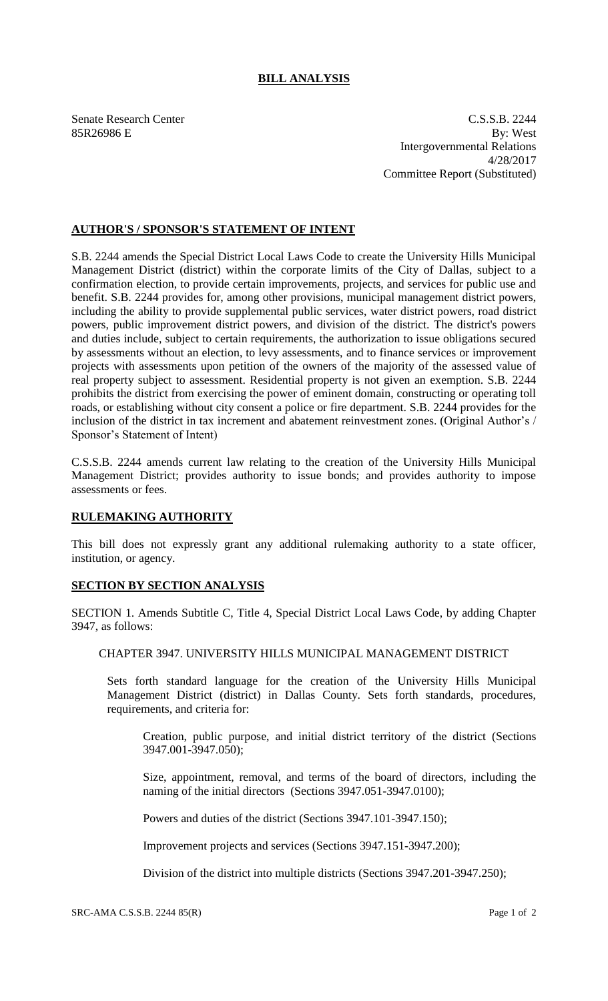# **BILL ANALYSIS**

Senate Research Center C.S.S.B. 2244 85R26986 E By: West Intergovernmental Relations 4/28/2017 Committee Report (Substituted)

# **AUTHOR'S / SPONSOR'S STATEMENT OF INTENT**

S.B. 2244 amends the Special District Local Laws Code to create the University Hills Municipal Management District (district) within the corporate limits of the City of Dallas, subject to a confirmation election, to provide certain improvements, projects, and services for public use and benefit. S.B. 2244 provides for, among other provisions, municipal management district powers, including the ability to provide supplemental public services, water district powers, road district powers, public improvement district powers, and division of the district. The district's powers and duties include, subject to certain requirements, the authorization to issue obligations secured by assessments without an election, to levy assessments, and to finance services or improvement projects with assessments upon petition of the owners of the majority of the assessed value of real property subject to assessment. Residential property is not given an exemption. S.B. 2244 prohibits the district from exercising the power of eminent domain, constructing or operating toll roads, or establishing without city consent a police or fire department. S.B. 2244 provides for the inclusion of the district in tax increment and abatement reinvestment zones. (Original Author's / Sponsor's Statement of Intent)

C.S.S.B. 2244 amends current law relating to the creation of the University Hills Municipal Management District; provides authority to issue bonds; and provides authority to impose assessments or fees.

## **RULEMAKING AUTHORITY**

This bill does not expressly grant any additional rulemaking authority to a state officer, institution, or agency.

## **SECTION BY SECTION ANALYSIS**

SECTION 1. Amends Subtitle C, Title 4, Special District Local Laws Code, by adding Chapter 3947, as follows:

### CHAPTER 3947. UNIVERSITY HILLS MUNICIPAL MANAGEMENT DISTRICT

Sets forth standard language for the creation of the University Hills Municipal Management District (district) in Dallas County. Sets forth standards, procedures, requirements, and criteria for:

Creation, public purpose, and initial district territory of the district (Sections 3947.001-3947.050);

Size, appointment, removal, and terms of the board of directors, including the naming of the initial directors (Sections 3947.051-3947.0100);

Powers and duties of the district (Sections 3947.101-3947.150);

Improvement projects and services (Sections 3947.151-3947.200);

Division of the district into multiple districts (Sections 3947.201-3947.250);